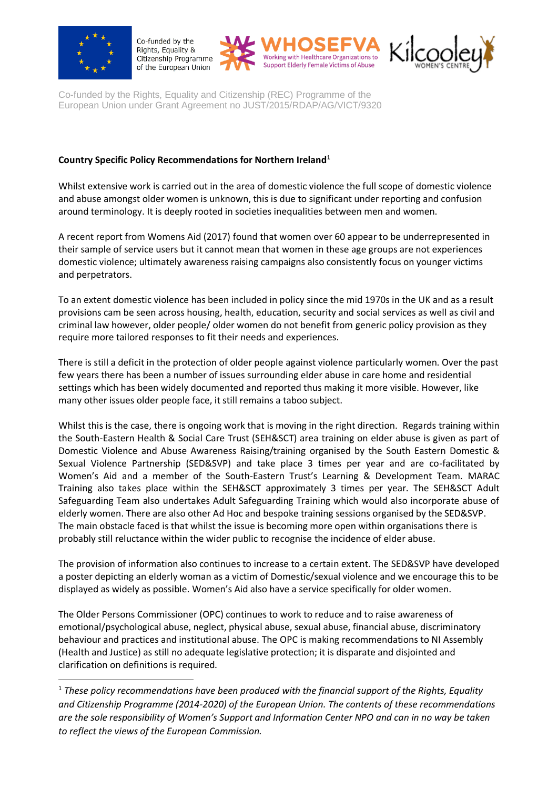

 $\overline{a}$ 

Co-funded by the Rights, Equality & Citizenship Programme of the European Union





Co-funded by the Rights, Equality and Citizenship (REC) Programme of the European Union under Grant Agreement no JUST/2015/RDAP/AG/VICT/9320

## **Country Specific Policy Recommendations for Northern Ireland<sup>1</sup>**

Whilst extensive work is carried out in the area of domestic violence the full scope of domestic violence and abuse amongst older women is unknown, this is due to significant under reporting and confusion around terminology. It is deeply rooted in societies inequalities between men and women.

A recent report from Womens Aid (2017) found that women over 60 appear to be underrepresented in their sample of service users but it cannot mean that women in these age groups are not experiences domestic violence; ultimately awareness raising campaigns also consistently focus on younger victims and perpetrators.

To an extent domestic violence has been included in policy since the mid 1970s in the UK and as a result provisions cam be seen across housing, health, education, security and social services as well as civil and criminal law however, older people/ older women do not benefit from generic policy provision as they require more tailored responses to fit their needs and experiences.

There is still a deficit in the protection of older people against violence particularly women. Over the past few years there has been a number of issues surrounding elder abuse in care home and residential settings which has been widely documented and reported thus making it more visible. However, like many other issues older people face, it still remains a taboo subject.

Whilst this is the case, there is ongoing work that is moving in the right direction. Regards training within the South-Eastern Health & Social Care Trust (SEH&SCT) area training on elder abuse is given as part of Domestic Violence and Abuse Awareness Raising/training organised by the South Eastern Domestic & Sexual Violence Partnership (SED&SVP) and take place 3 times per year and are co-facilitated by Women's Aid and a member of the South-Eastern Trust's Learning & Development Team. MARAC Training also takes place within the SEH&SCT approximately 3 times per year. The SEH&SCT Adult Safeguarding Team also undertakes Adult Safeguarding Training which would also incorporate abuse of elderly women. There are also other Ad Hoc and bespoke training sessions organised by the SED&SVP. The main obstacle faced is that whilst the issue is becoming more open within organisations there is probably still reluctance within the wider public to recognise the incidence of elder abuse.

The provision of information also continues to increase to a certain extent. The SED&SVP have developed a poster depicting an elderly woman as a victim of Domestic/sexual violence and we encourage this to be displayed as widely as possible. Women's Aid also have a service specifically for older women.

The Older Persons Commissioner (OPC) continues to work to reduce and to raise awareness of emotional/psychological abuse, neglect, physical abuse, sexual abuse, financial abuse, discriminatory behaviour and practices and institutional abuse. The OPC is making recommendations to NI Assembly (Health and Justice) as still no adequate legislative protection; it is disparate and disjointed and clarification on definitions is required.

<sup>1</sup> *These policy recommendations have been produced with the financial support of the Rights, Equality and Citizenship Programme (2014-2020) of the European Union. The contents of these recommendations are the sole responsibility of Women's Support and Information Center NPO and can in no way be taken to reflect the views of the European Commission.*